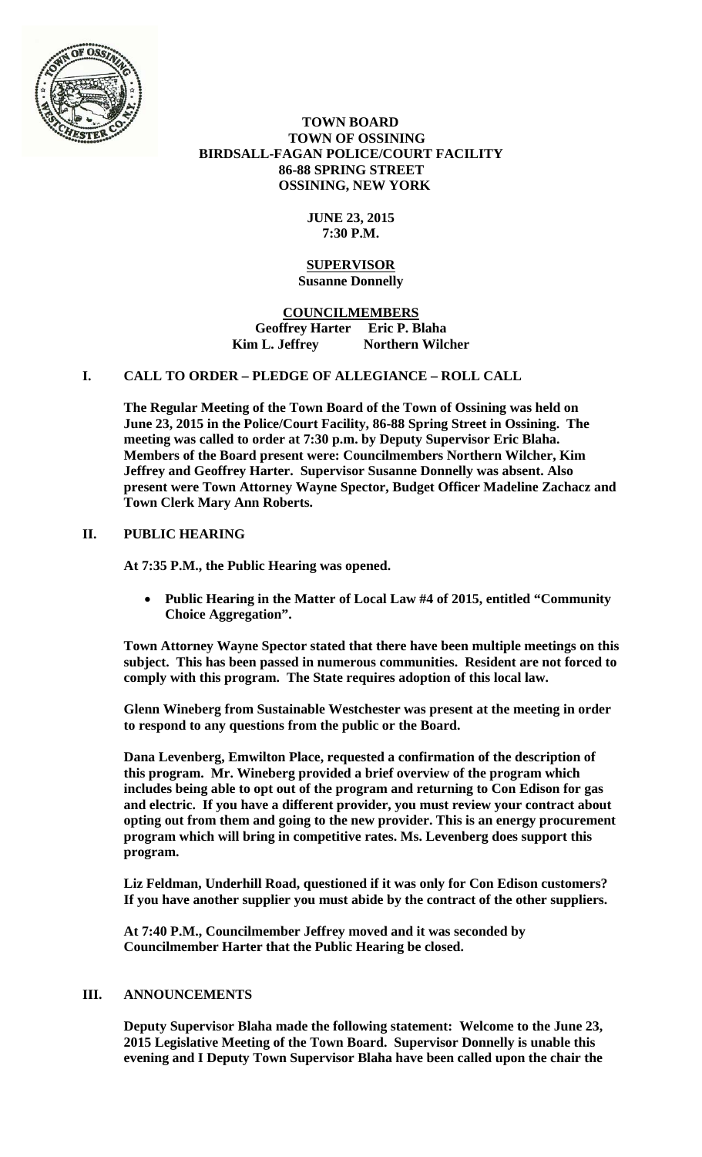

## **TOWN BOARD TOWN OF OSSINING BIRDSALL-FAGAN POLICE/COURT FACILITY 86-88 SPRING STREET OSSINING, NEW YORK**

# **JUNE 23, 2015 7:30 P.M.**

#### **SUPERVISOR Susanne Donnelly**

**COUNCILMEMBERS Geoffrey Harter Eric P. Blaha**  Kim L. Jeffrey **Northern Wilcher** 

# **I. CALL TO ORDER – PLEDGE OF ALLEGIANCE – ROLL CALL**

**The Regular Meeting of the Town Board of the Town of Ossining was held on June 23, 2015 in the Police/Court Facility, 86-88 Spring Street in Ossining. The meeting was called to order at 7:30 p.m. by Deputy Supervisor Eric Blaha. Members of the Board present were: Councilmembers Northern Wilcher, Kim Jeffrey and Geoffrey Harter. Supervisor Susanne Donnelly was absent. Also present were Town Attorney Wayne Spector, Budget Officer Madeline Zachacz and Town Clerk Mary Ann Roberts.** 

## **II. PUBLIC HEARING**

**At 7:35 P.M., the Public Hearing was opened.** 

 **Public Hearing in the Matter of Local Law #4 of 2015, entitled "Community Choice Aggregation".** 

**Town Attorney Wayne Spector stated that there have been multiple meetings on this subject. This has been passed in numerous communities. Resident are not forced to comply with this program. The State requires adoption of this local law.** 

**Glenn Wineberg from Sustainable Westchester was present at the meeting in order to respond to any questions from the public or the Board.** 

**Dana Levenberg, Emwilton Place, requested a confirmation of the description of this program. Mr. Wineberg provided a brief overview of the program which includes being able to opt out of the program and returning to Con Edison for gas and electric. If you have a different provider, you must review your contract about opting out from them and going to the new provider. This is an energy procurement program which will bring in competitive rates. Ms. Levenberg does support this program.** 

**Liz Feldman, Underhill Road, questioned if it was only for Con Edison customers? If you have another supplier you must abide by the contract of the other suppliers.** 

**At 7:40 P.M., Councilmember Jeffrey moved and it was seconded by Councilmember Harter that the Public Hearing be closed.** 

## **III. ANNOUNCEMENTS**

**Deputy Supervisor Blaha made the following statement: Welcome to the June 23, 2015 Legislative Meeting of the Town Board. Supervisor Donnelly is unable this evening and I Deputy Town Supervisor Blaha have been called upon the chair the**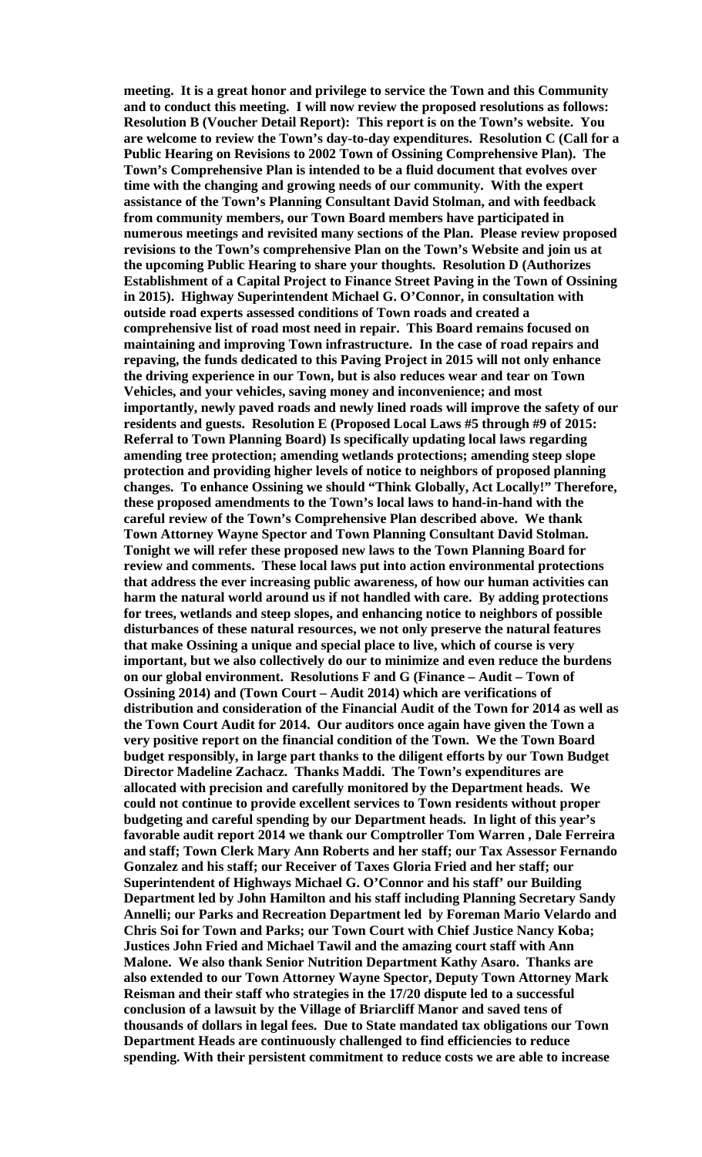**meeting. It is a great honor and privilege to service the Town and this Community and to conduct this meeting. I will now review the proposed resolutions as follows: Resolution B (Voucher Detail Report): This report is on the Town's website. You are welcome to review the Town's day-to-day expenditures. Resolution C (Call for a Public Hearing on Revisions to 2002 Town of Ossining Comprehensive Plan). The Town's Comprehensive Plan is intended to be a fluid document that evolves over time with the changing and growing needs of our community. With the expert assistance of the Town's Planning Consultant David Stolman, and with feedback from community members, our Town Board members have participated in numerous meetings and revisited many sections of the Plan. Please review proposed revisions to the Town's comprehensive Plan on the Town's Website and join us at the upcoming Public Hearing to share your thoughts. Resolution D (Authorizes Establishment of a Capital Project to Finance Street Paving in the Town of Ossining in 2015). Highway Superintendent Michael G. O'Connor, in consultation with outside road experts assessed conditions of Town roads and created a comprehensive list of road most need in repair. This Board remains focused on maintaining and improving Town infrastructure. In the case of road repairs and repaving, the funds dedicated to this Paving Project in 2015 will not only enhance the driving experience in our Town, but is also reduces wear and tear on Town Vehicles, and your vehicles, saving money and inconvenience; and most importantly, newly paved roads and newly lined roads will improve the safety of our residents and guests. Resolution E (Proposed Local Laws #5 through #9 of 2015: Referral to Town Planning Board) Is specifically updating local laws regarding amending tree protection; amending wetlands protections; amending steep slope protection and providing higher levels of notice to neighbors of proposed planning changes. To enhance Ossining we should "Think Globally, Act Locally!" Therefore, these proposed amendments to the Town's local laws to hand-in-hand with the careful review of the Town's Comprehensive Plan described above. We thank Town Attorney Wayne Spector and Town Planning Consultant David Stolman. Tonight we will refer these proposed new laws to the Town Planning Board for review and comments. These local laws put into action environmental protections that address the ever increasing public awareness, of how our human activities can harm the natural world around us if not handled with care. By adding protections for trees, wetlands and steep slopes, and enhancing notice to neighbors of possible disturbances of these natural resources, we not only preserve the natural features that make Ossining a unique and special place to live, which of course is very important, but we also collectively do our to minimize and even reduce the burdens on our global environment. Resolutions F and G (Finance – Audit – Town of Ossining 2014) and (Town Court – Audit 2014) which are verifications of distribution and consideration of the Financial Audit of the Town for 2014 as well as the Town Court Audit for 2014. Our auditors once again have given the Town a very positive report on the financial condition of the Town. We the Town Board budget responsibly, in large part thanks to the diligent efforts by our Town Budget Director Madeline Zachacz. Thanks Maddi. The Town's expenditures are allocated with precision and carefully monitored by the Department heads. We could not continue to provide excellent services to Town residents without proper budgeting and careful spending by our Department heads. In light of this year's favorable audit report 2014 we thank our Comptroller Tom Warren , Dale Ferreira and staff; Town Clerk Mary Ann Roberts and her staff; our Tax Assessor Fernando Gonzalez and his staff; our Receiver of Taxes Gloria Fried and her staff; our Superintendent of Highways Michael G. O'Connor and his staff' our Building Department led by John Hamilton and his staff including Planning Secretary Sandy Annelli; our Parks and Recreation Department led by Foreman Mario Velardo and Chris Soi for Town and Parks; our Town Court with Chief Justice Nancy Koba; Justices John Fried and Michael Tawil and the amazing court staff with Ann Malone. We also thank Senior Nutrition Department Kathy Asaro. Thanks are also extended to our Town Attorney Wayne Spector, Deputy Town Attorney Mark Reisman and their staff who strategies in the 17/20 dispute led to a successful conclusion of a lawsuit by the Village of Briarcliff Manor and saved tens of thousands of dollars in legal fees. Due to State mandated tax obligations our Town Department Heads are continuously challenged to find efficiencies to reduce spending. With their persistent commitment to reduce costs we are able to increase**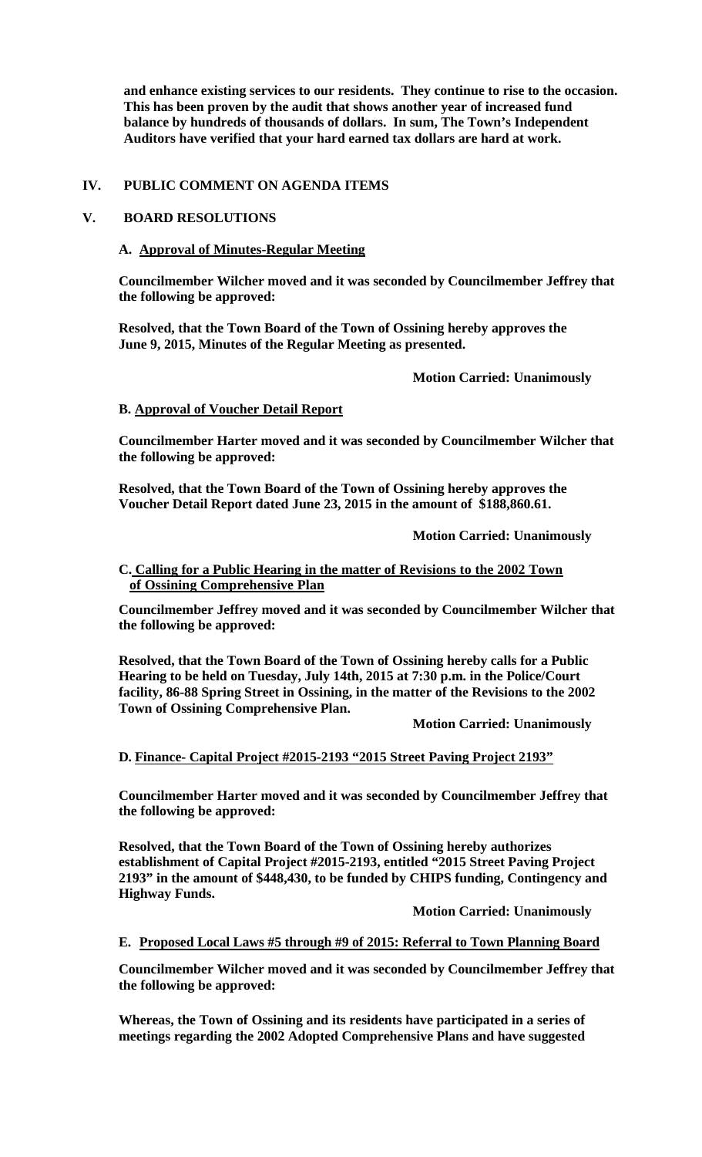**and enhance existing services to our residents. They continue to rise to the occasion. This has been proven by the audit that shows another year of increased fund balance by hundreds of thousands of dollars. In sum, The Town's Independent Auditors have verified that your hard earned tax dollars are hard at work.** 

## **IV. PUBLIC COMMENT ON AGENDA ITEMS**

## **V. BOARD RESOLUTIONS**

#### **A. Approval of Minutes-Regular Meeting**

**Councilmember Wilcher moved and it was seconded by Councilmember Jeffrey that the following be approved:** 

**Resolved, that the Town Board of the Town of Ossining hereby approves the June 9, 2015, Minutes of the Regular Meeting as presented.** 

#### **Motion Carried: Unanimously**

#### **B. Approval of Voucher Detail Report**

**Councilmember Harter moved and it was seconded by Councilmember Wilcher that the following be approved:** 

**Resolved, that the Town Board of the Town of Ossining hereby approves the Voucher Detail Report dated June 23, 2015 in the amount of \$188,860.61.**

 **Motion Carried: Unanimously** 

#### **C. Calling for a Public Hearing in the matter of Revisions to the 2002 Town of Ossining Comprehensive Plan**

**Councilmember Jeffrey moved and it was seconded by Councilmember Wilcher that the following be approved:** 

**Resolved, that the Town Board of the Town of Ossining hereby calls for a Public Hearing to be held on Tuesday, July 14th, 2015 at 7:30 p.m. in the Police/Court facility, 86-88 Spring Street in Ossining, in the matter of the Revisions to the 2002 Town of Ossining Comprehensive Plan.** 

 **Motion Carried: Unanimously** 

## **D. Finance- Capital Project #2015-2193 "2015 Street Paving Project 2193"**

**Councilmember Harter moved and it was seconded by Councilmember Jeffrey that the following be approved:** 

**Resolved, that the Town Board of the Town of Ossining hereby authorizes establishment of Capital Project #2015-2193, entitled "2015 Street Paving Project 2193" in the amount of \$448,430, to be funded by CHIPS funding, Contingency and Highway Funds.** 

# **Motion Carried: Unanimously**

## **E. Proposed Local Laws #5 through #9 of 2015: Referral to Town Planning Board**

**Councilmember Wilcher moved and it was seconded by Councilmember Jeffrey that the following be approved:** 

**Whereas, the Town of Ossining and its residents have participated in a series of meetings regarding the 2002 Adopted Comprehensive Plans and have suggested**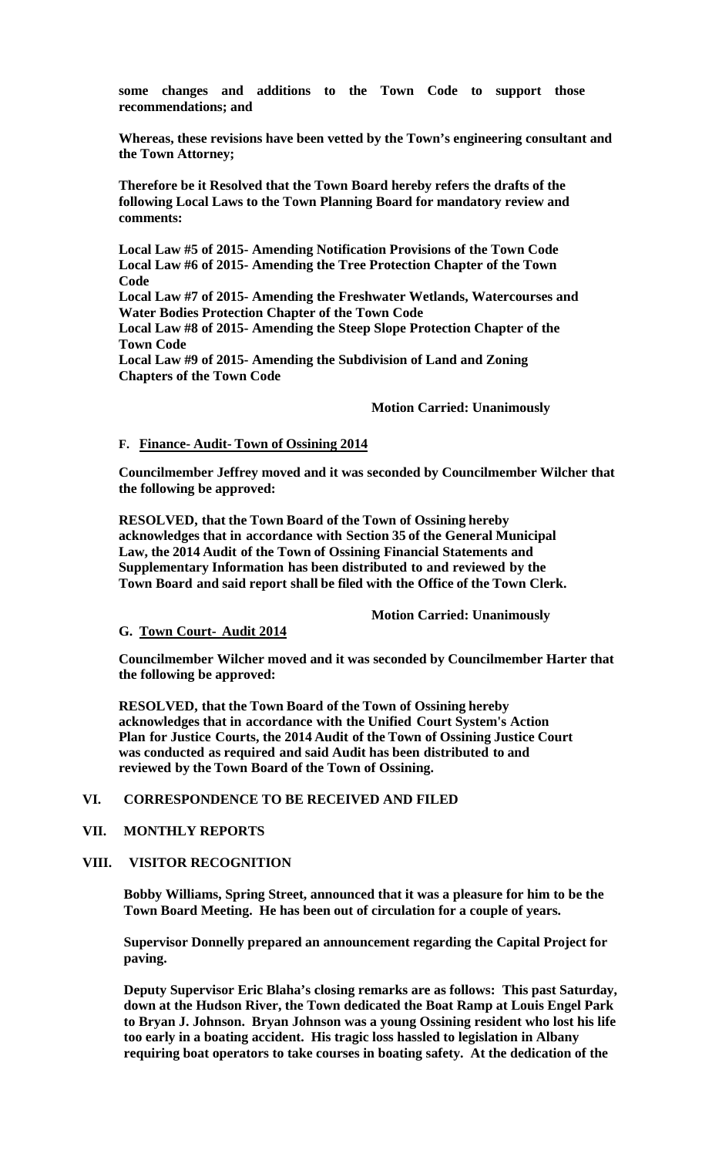**some changes and additions to the Town Code to support those recommendations; and**

**Whereas, these revisions have been vetted by the Town's engineering consultant and the Town Attorney;**

**Therefore be it Resolved that the Town Board hereby refers the drafts of the following Local Laws to the Town Planning Board for mandatory review and comments:** 

**Local Law #5 of 2015- Amending Notification Provisions of the Town Code Local Law #6 of 2015- Amending the Tree Protection Chapter of the Town Code** 

**Local Law #7 of 2015- Amending the Freshwater Wetlands, Watercourses and Water Bodies Protection Chapter of the Town Code** 

**Local Law #8 of 2015- Amending the Steep Slope Protection Chapter of the Town Code** 

**Local Law #9 of 2015- Amending the Subdivision of Land and Zoning Chapters of the Town Code** 

 **Motion Carried: Unanimously** 

### **F. Finance- Audit- Town of Ossining 2014**

**Councilmember Jeffrey moved and it was seconded by Councilmember Wilcher that the following be approved:** 

**RESOLVED, that the Town Board of the Town of Ossining hereby acknowledges that in accordance with Section 35 of the General Municipal Law, the 2014 Audit of the Town of Ossining Financial Statements and Supplementary Information has been distributed to and reviewed by the Town Board and said report shall be filed with the Office of the Town Clerk.** 

#### **Motion Carried: Unanimously**

#### **G. Town Court- Audit 2014**

**Councilmember Wilcher moved and it was seconded by Councilmember Harter that the following be approved:** 

**RESOLVED, that the Town Board of the Town of Ossining hereby acknowledges that in accordance with the Unified Court System's Action Plan for Justice Courts, the 2014 Audit of the Town of Ossining Justice Court was conducted as required and said Audit has been distributed to and reviewed by the Town Board of the Town of Ossining.**

#### **VI. CORRESPONDENCE TO BE RECEIVED AND FILED**

### **VII. MONTHLY REPORTS**

#### **VIII. VISITOR RECOGNITION**

**Bobby Williams, Spring Street, announced that it was a pleasure for him to be the Town Board Meeting. He has been out of circulation for a couple of years.** 

**Supervisor Donnelly prepared an announcement regarding the Capital Project for paving.** 

**Deputy Supervisor Eric Blaha's closing remarks are as follows: This past Saturday, down at the Hudson River, the Town dedicated the Boat Ramp at Louis Engel Park to Bryan J. Johnson. Bryan Johnson was a young Ossining resident who lost his life too early in a boating accident. His tragic loss hassled to legislation in Albany requiring boat operators to take courses in boating safety. At the dedication of the**